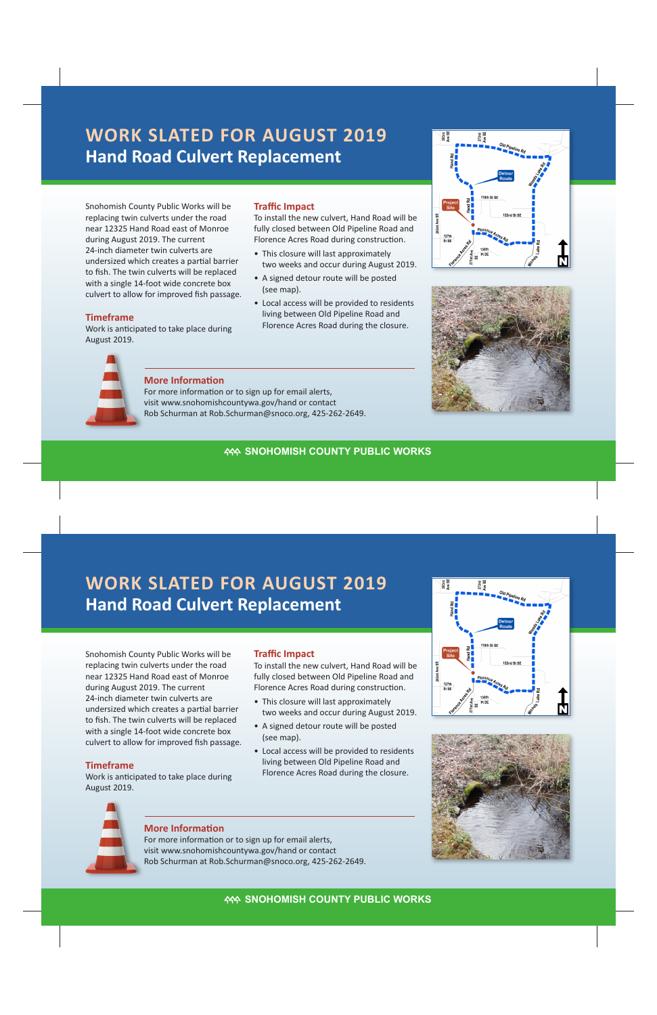# **Hand Road Culvert Replacement WORK SLATED FOR AUGUST 2019**

Snohomish County Public Works will be replacing twin culverts under the road near 12325 Hand Road east of Monroe during August 2019. The current 24-inch diameter twin culverts are undersized which creates a partial barrier to fish. The twin culverts will be replaced with a single 14-foot wide concrete box culvert to allow for improved fish passage.

#### **Timeframe**

Work is anticipated to take place during August 2019.

#### **Traffic Impact**

To install the new culvert, Hand Road will be fully closed between Old Pipeline Road and Florence Acres Road during construction.

- This closure will last approximately two weeks and occur during August 2019.
- A signed detour route will be posted (see map).
- Local access will be provided to residents living between Old Pipeline Road and Florence Acres Road during the closure.







## **More Information**

For more information or to sign up for email alerts, visit www.snohomishcountywa.gov/hand or contact Rob Schurman at Rob.Schurman@snoco.org, 425-262-2649.

# **KAN SNOHOMISH COUNTY PUBLIC WORKS**